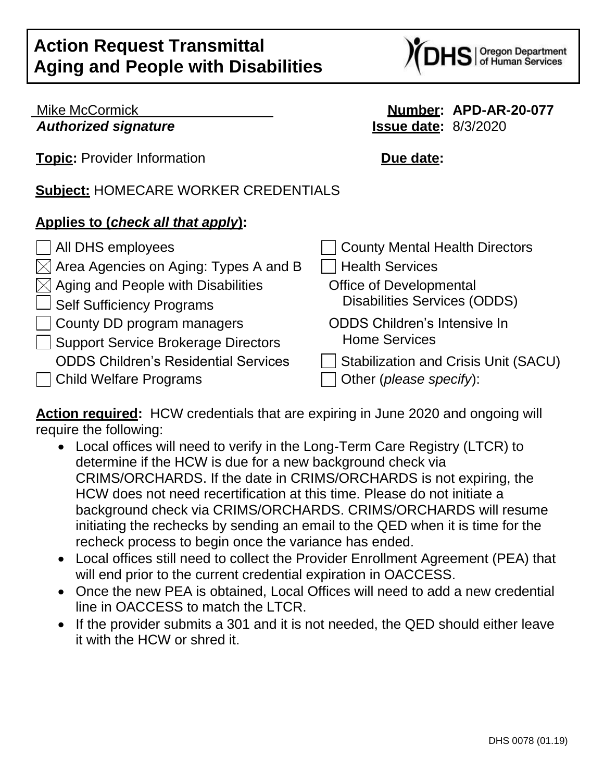Oregon Department<br>of Human Services

| <b>Mike McCormick</b>                                                        | Number: APD-AR-20-077                                           |
|------------------------------------------------------------------------------|-----------------------------------------------------------------|
| <b>Authorized signature</b>                                                  | <b>Issue date: 8/3/2020</b>                                     |
| <b>Topic:</b> Provider Information                                           | Due date:                                                       |
| <b>Subject: HOMECARE WORKER CREDENTIALS</b>                                  |                                                                 |
| Applies to (check all that apply):                                           |                                                                 |
| All DHS employees                                                            | <b>County Mental Health Directors</b>                           |
| Area Agencies on Aging: Types A and B                                        | <b>Health Services</b>                                          |
| Aging and People with Disabilities                                           | <b>Office of Developmental</b>                                  |
| <b>Self Sufficiency Programs</b>                                             | Disabilities Services (ODDS)                                    |
| County DD program managers<br><b>Support Service Brokerage Directors</b>     | <b>ODDS Children's Intensive In</b><br><b>Home Services</b>     |
| <b>ODDS Children's Residential Services</b><br><b>Child Welfare Programs</b> | Stabilization and Crisis Unit (SACU)<br>Other (please specify): |

**Action required:** HCW credentials that are expiring in June 2020 and ongoing will require the following:

- Local offices will need to verify in the Long-Term Care Registry (LTCR) to determine if the HCW is due for a new background check via CRIMS/ORCHARDS. If the date in CRIMS/ORCHARDS is not expiring, the HCW does not need recertification at this time. Please do not initiate a background check via CRIMS/ORCHARDS. CRIMS/ORCHARDS will resume initiating the rechecks by sending an email to the QED when it is time for the recheck process to begin once the variance has ended.
- Local offices still need to collect the Provider Enrollment Agreement (PEA) that will end prior to the current credential expiration in OACCESS.
- Once the new PEA is obtained, Local Offices will need to add a new credential line in OACCESS to match the LTCR.
- If the provider submits a 301 and it is not needed, the QED should either leave it with the HCW or shred it.